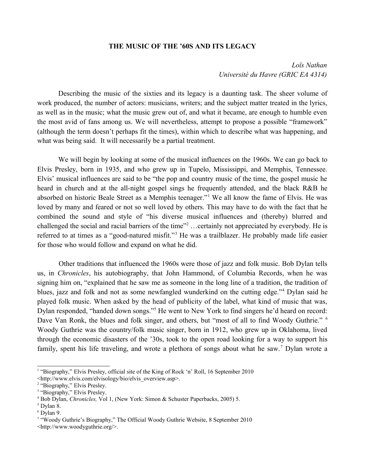## **THE MUSIC OF THE '60S AND ITS LEGACY**

*Loïs Nathan Université du Havre (GRIC EA 4314)*

Describing the music of the sixties and its legacy is a daunting task. The sheer volume of work produced, the number of actors: musicians, writers; and the subject matter treated in the lyrics, as well as in the music; what the music grew out of, and what it became, are enough to humble even the most avid of fans among us. We will nevertheless, attempt to propose a possible "framework" (although the term doesn't perhaps fit the times), within which to describe what was happening, and what was being said. It will necessarily be a partial treatment.

We will begin by looking at some of the musical influences on the 1960s. We can go back to Elvis Presley, born in 1935, and who grew up in Tupelo, Mississippi, and Memphis, Tennessee. Elvis' musical influences are said to be "the pop and country music of the time, the gospel music he heard in church and at the all-night gospel sings he frequently attended, and the black R&B he absorbed on historic Beale Street as a Memphis teenager."<sup>[1](#page-0-0)</sup> We all know the fame of Elvis. He was loved by many and feared or not so well loved by others. This may have to do with the fact that he combined the sound and style of "his diverse musical influences and (thereby) blurred and challenged the social and racial barriers of the time"<sup>[2](#page-0-1)</sup> ...certainly not appreciated by everybody. He is referred to at times as a "good-natured misfit."<sup>[3](#page-0-2)</sup> He was a trailblazer. He probably made life easier for those who would follow and expand on what he did.

Other traditions that influenced the 1960s were those of jazz and folk music. Bob Dylan tells us, in *Chronicles*, his autobiography, that John Hammond, of Columbia Records, when he was signing him on, "explained that he saw me as someone in the long line of a tradition, the tradition of blues, jazz and folk and not as some newfangled wunderkind on the cutting edge."[4](#page-0-3) Dylan said he played folk music. When asked by the head of publicity of the label, what kind of music that was, Dylan responded, "handed down songs."[5](#page-0-4) He went to New York to find singers he'd heard on record: Dave Van Ronk, the blues and folk singer, and others, but "most of all to find Woody Guthrie." <sup>[6](#page-0-5)</sup> Woody Guthrie was the country/folk music singer, born in 1912, who grew up in Oklahoma, lived through the economic disasters of the '30s, took to the open road looking for a way to support his family, spent his life traveling, and wrote a plethora of songs about what he saw.<sup>[7](#page-0-6)</sup> Dylan wrote a

<span id="page-0-0"></span><sup>&</sup>lt;sup>1</sup> "Biography," Elvis Presley, official site of the King of Rock 'n' Roll, 16 September 2010 <http://www.elvis.com/elvisology/bio/elvis\_overview.asp>.

<span id="page-0-1"></span><sup>&</sup>lt;sup>2</sup> "Biography," Elvis Presley.

<span id="page-0-2"></span><sup>&</sup>lt;sup>3</sup> "Biography," Elvis Presley.

<span id="page-0-3"></span><sup>4</sup> Bob Dylan, *Chronicles,* Vol 1, (New York: Simon & Schuster Paperbacks, 2005) 5.

<span id="page-0-4"></span><sup>5</sup> Dylan 8.

<span id="page-0-5"></span><sup>6</sup> Dylan 9.

<span id="page-0-6"></span><sup>&</sup>lt;sup>7</sup> "Woody Guthrie's Biography," The Official Woody Guthrie Website, 8 September 2010 <http://www.woodyguthrie.org/>.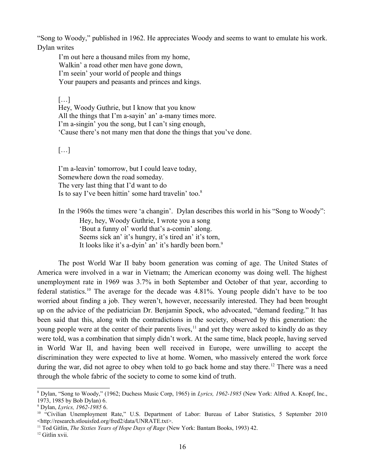"Song to Woody," published in 1962. He appreciates Woody and seems to want to emulate his work. Dylan writes

I'm out here a thousand miles from my home, Walkin' a road other men have gone down, I'm seein' your world of people and things Your paupers and peasants and princes and kings.

[…]

Hey, Woody Guthrie, but I know that you know All the things that I'm a-sayin' an' a-many times more. I'm a-singin' you the song, but I can't sing enough, 'Cause there's not many men that done the things that you've done.

[…]

I'm a-leavin' tomorrow, but I could leave today, Somewhere down the road someday. The very last thing that I'd want to do Is to say I've been hittin' some hard travelin' too.<sup>[8](#page-1-0)</sup>

In the 1960s the times were 'a changin'. Dylan describes this world in his "Song to Woody":

Hey, hey, Woody Guthrie, I wrote you a song 'Bout a funny ol' world that's a-comin' along. Seems sick an' it's hungry, it's tired an' it's torn, It looks like it's a-dyin' an' it's hardly been born.<sup>[9](#page-1-1)</sup>

The post World War II baby boom generation was coming of age. The United States of America were involved in a war in Vietnam; the American economy was doing well. The highest unemployment rate in 1969 was 3.7% in both September and October of that year, according to federal statistics.[10](#page-1-2) The average for the decade was 4.81%. Young people didn't have to be too worried about finding a job. They weren't, however, necessarily interested. They had been brought up on the advice of the pediatrician Dr. Benjamin Spock, who advocated, "demand feeding." It has been said that this, along with the contradictions in the society, observed by this generation: the young people were at the center of their parents lives,<sup>[11](#page-1-3)</sup> and yet they were asked to kindly do as they were told, was a combination that simply didn't work. At the same time, black people, having served in World War II, and having been well received in Europe, were unwilling to accept the discrimination they were expected to live at home. Women, who massively entered the work force during the war, did not agree to obey when told to go back home and stay there.<sup>[12](#page-1-4)</sup> There was a need through the whole fabric of the society to come to some kind of truth.

<span id="page-1-0"></span><sup>8</sup> Dylan, "Song to Woody," (1962; Duchess Music Corp, 1965) in *Lyrics, 1962-1985* (New York: Alfred A. Knopf, Inc., 1973, 1985 by Bob Dylan) 6.

<span id="page-1-1"></span><sup>9</sup> Dylan, *Lyrics, 1962-1985* 6.

<span id="page-1-2"></span><sup>&</sup>lt;sup>10</sup> "Civilian Unemployment Rate," U.S. Department of Labor: Bureau of Labor Statistics, 5 September 2010 <http://research.stlouisfed.org/fred2/data/UNRATE.txt>.

<span id="page-1-3"></span><sup>11</sup> Tod Gitlin, *The Sixties Years of Hope Days of Rage* (New York: Bantam Books, 1993) 42.

<span id="page-1-4"></span><sup>12</sup> Gitlin xvii.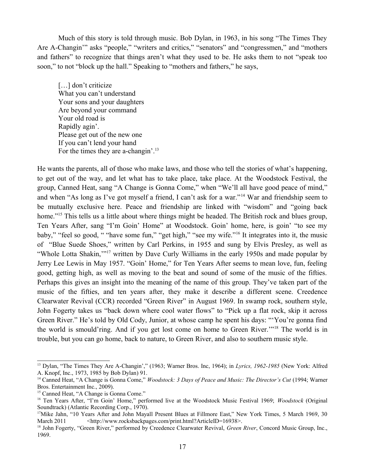Much of this story is told through music. Bob Dylan, in 1963, in his song "The Times They Are A-Changin" asks "people," "writers and critics," "senators" and "congressmen," and "mothers and fathers" to recognize that things aren't what they used to be. He asks them to not "speak too soon," to not "block up the hall." Speaking to "mothers and fathers," he says,

[...] don't criticize What you can't understand Your sons and your daughters Are beyond your command Your old road is Rapidly agin'. Please get out of the new one If you can't lend your hand For the times they are a-changin'.<sup>[13](#page-2-0)</sup>

He wants the parents, all of those who make laws, and those who tell the stories of what's happening, to get out of the way, and let what has to take place, take place. At the Woodstock Festival, the group, Canned Heat, sang "A Change is Gonna Come," when "We'll all have good peace of mind," and when "As long as I've got myself a friend, I can't ask for a war."[14](#page-2-1) War and friendship seem to be mutually exclusive here. Peace and friendship are linked with "wisdom" and "going back home."<sup>[15](#page-2-2)</sup> This tells us a little about where things might be headed. The British rock and blues group, Ten Years After, sang "I'm Goin' Home" at Woodstock. Goin' home, here, is goin' "to see my baby," "feel so good, " "have some fun," "get high," "see my wife."[16](#page-2-3) It integrates into it, the music of "Blue Suede Shoes," written by Carl Perkins, in 1955 and sung by Elvis Presley, as well as "Whole Lotta Shakin,"<sup>[17](#page-2-4)</sup> written by Dave Curly Williams in the early 1950s and made popular by Jerry Lee Lewis in May 1957. "Goin' Home," for Ten Years After seems to mean love, fun, feeling good, getting high, as well as moving to the beat and sound of some of the music of the fifties. Perhaps this gives an insight into the meaning of the name of this group. They've taken part of the music of the fifties, and ten years after, they make it describe a different scene. Creedence Clearwater Revival (CCR) recorded "Green River" in August 1969. In swamp rock, southern style, John Fogerty takes us "back down where cool water flows" to "Pick up a flat rock, skip it across Green River." He's told by Old Cody, Junior, at whose camp he spent his days: "'You're gonna find the world is smould'ring. And if you get lost come on home to Green River.'"[18](#page-2-5) The world is in trouble, but you can go home, back to nature, to Green River, and also to southern music style.

<span id="page-2-0"></span><sup>13</sup> Dylan, "The Times They Are A-Changin'," (1963; Warner Bros. Inc, 1964); in *Lyrics, 1962-1985* (New York: Alfred A. Knopf, Inc., 1973, 1985 by Bob Dylan) 91.

<span id="page-2-1"></span><sup>&</sup>lt;sup>14</sup> Canned Heat, "A Change is Gonna Come," *Woodstock: 3 Days of Peace and Music: The Director's Cut* (1994; Warner Bros. Entertainment Inc., 2009).

<span id="page-2-2"></span><sup>&</sup>lt;sup>15</sup> Canned Heat, "A Change is Gonna Come."

<span id="page-2-3"></span><sup>16</sup> Ten Years After, "I'm Goin' Home," performed live at the Woodstock Music Festival 1969; *Woodstock* (Original Soundtrack) (Atlantic Recording Corp., 1970).

<span id="page-2-4"></span><sup>17</sup>Mike Jahn, "10 Years After and John Mayall Present Blues at Fillmore East," New York Times, 5 March 1969, 30 March 2011  $\leq$ http://www.rocksbackpages.com/print.html?ArticleID=16938>.

<span id="page-2-5"></span><sup>18</sup> John Fogerty, "Green River," performed by Creedence Clearwater Revival, *Green River*, Concord Music Group, Inc., 1969.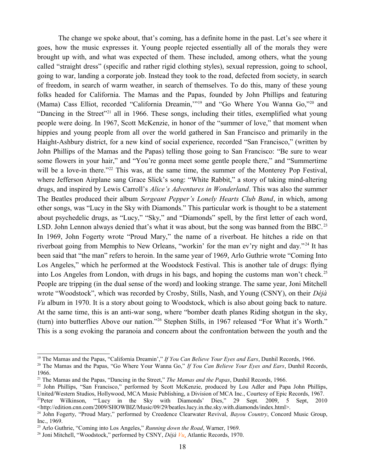The change we spoke about, that's coming, has a definite home in the past. Let's see where it goes, how the music expresses it. Young people rejected essentially all of the morals they were brought up with, and what was expected of them. These included, among others, what the young called "straight dress" (specific and rather rigid clothing styles), sexual repression, going to school, going to war, landing a corporate job. Instead they took to the road, defected from society, in search of freedom, in search of warm weather, in search of themselves. To do this, many of these young folks headed for California. The Mamas and the Papas, founded by John Phillips and featuring (Mama) Cass Elliot, recorded "California Dreamin,'"[19](#page-3-0) and "Go Where You Wanna Go,"[20](#page-3-1) and "Dancing in the Street"<sup>[21](#page-3-2)</sup> all in 1966. These songs, including their titles, exemplified what young people were doing. In 1967, Scott McKenzie, in honor of the "summer of love," that moment when hippies and young people from all over the world gathered in San Francisco and primarily in the Haight-Ashbury district, for a new kind of social experience, recorded "San Francisco," (written by John Phillips of the Mamas and the Papas) telling those going to San Francisco: "Be sure to wear some flowers in your hair," and "You're gonna meet some gentle people there," and "Summertime will be a love-in there."<sup>[22](#page-3-3)</sup> This was, at the same time, the summer of the Monterey Pop Festival, where Jefferson Airplane sang Grace Slick's song: "White Rabbit," a story of taking mind-altering drugs, and inspired by Lewis Carroll's *Alice's Adventures in Wonderland*. This was also the summer The Beatles produced their album *Sergeant Pepper's Lonely Hearts Club Band*, in which, among other songs, was "Lucy in the Sky with Diamonds." This particular work is thought to be a statement about psychedelic drugs, as "Lucy," "Sky," and "Diamonds" spell, by the first letter of each word, LSD. John Lennon always denied that's what it was about, but the song was banned from the BBC.<sup>[23](#page-3-4)</sup> In 1969, John Fogerty wrote "Proud Mary," the name of a riverboat. He hitches a ride on that riverboat going from Memphis to New Orleans, "workin' for the man ev'ry night and day."<sup>[24](#page-3-5)</sup> It has been said that "the man" refers to heroin. In the same year of 1969, Arlo Guthrie wrote "Coming Into Los Angeles," which he performed at the Woodstock Festival. This is another tale of drugs: flying into Los Angeles from London, with drugs in his bags, and hoping the customs man won't check.<sup>[25](#page-3-6)</sup> People are tripping (in the dual sense of the word) and looking strange. The same year, Joni Mitchell wrote "Woodstock", which was recorded by Crosby, Stills, Nash, and Young (CSNY), on their *Déjà Vu* album in 1970. It is a story about going to Woodstock, which is also about going back to nature. At the same time, this is an anti-war song, where "bomber death planes Riding shotgun in the sky, (turn) into butterflies Above our nation."[26](#page-3-7) Stephen Stills, in 1967 released "For What it's Worth." This is a song evoking the paranoia and concern about the confrontation between the youth and the

<span id="page-3-0"></span><sup>&</sup>lt;sup>19</sup> The Mamas and the Papas, "California Dreamin'," If You Can Believe Your Eyes and Ears, Dunhil Records, 1966.

<span id="page-3-1"></span><sup>20</sup> The Mamas and the Papas, "Go Where Your Wanna Go," *If You Can Believe Your Eyes and Ears*, Dunhil Records, 1966.

<span id="page-3-2"></span><sup>21</sup> The Mamas and the Papas, "Dancing in the Street," *The Mamas and the Papas*, Dunhil Records, 1966.

<span id="page-3-3"></span><sup>&</sup>lt;sup>22</sup> John Phillips, "San Francisco," performed by Scott McKenzie, produced by Lou Adler and Papa John Phillips, United/Western Studios, Hollywood, MCA Music Publishing, a Division of MCA Inc., Courtesy of Epic Records, 1967.

<span id="page-3-4"></span><sup>&</sup>lt;sup>23</sup>Peter Wilkinson, "'Lucy in the Sky with Diamonds' Dies," 29 Sept. 2009, 5 Sept, 2010 <http://edition.cnn.com/2009/SHOWBIZ/Music/09/29/beatles.lucy.in.the.sky.with.diamonds/index.html>.

<span id="page-3-5"></span><sup>24</sup> John Fogerty, "Proud Mary," performed by Creedence Clearwater Revival, *Bayou Country*, Concord Music Group, Inc., 1969.

<span id="page-3-6"></span><sup>25</sup> Arlo Guthrie, "Coming into Los Angeles," *Running down the Road*, Warner, 1969.

<span id="page-3-7"></span><sup>26</sup> Joni Mitchell, "Woodstock," performed by CSNY, *Déjà Vu*, Atlantic Records, 1970.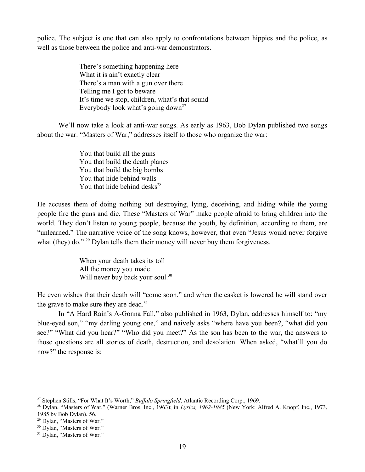police. The subject is one that can also apply to confrontations between hippies and the police, as well as those between the police and anti-war demonstrators.

> There's something happening here What it is ain't exactly clear There's a man with a gun over there Telling me I got to beware It's time we stop, children, what's that sound Everybody look what's going down<sup>[27](#page-4-0)</sup>

We'll now take a look at anti-war songs. As early as 1963, Bob Dylan published two songs about the war. "Masters of War," addresses itself to those who organize the war:

> You that build all the guns You that build the death planes You that build the big bombs You that hide behind walls You that hide behind desks<sup>[28](#page-4-1)</sup>

He accuses them of doing nothing but destroying, lying, deceiving, and hiding while the young people fire the guns and die. These "Masters of War" make people afraid to bring children into the world. They don't listen to young people, because the youth, by definition, according to them, are "unlearned." The narrative voice of the song knows, however, that even "Jesus would never forgive what (they) do." <sup>[29](#page-4-2)</sup> Dylan tells them their money will never buy them forgiveness.

> When your death takes its toll All the money you made Will never buy back your soul.<sup>[30](#page-4-3)</sup>

He even wishes that their death will "come soon," and when the casket is lowered he will stand over the grave to make sure they are dead. $31$ 

In "A Hard Rain's A-Gonna Fall," also published in 1963, Dylan, addresses himself to: "my blue-eyed son," "my darling young one," and naively asks "where have you been?, "what did you see?" "What did you hear?" "Who did you meet?" As the son has been to the war, the answers to those questions are all stories of death, destruction, and desolation. When asked, "what'll you do now?" the response is:

<span id="page-4-0"></span><sup>27</sup> Stephen Stills, "For What It's Worth," *Buffalo Springfield*, Atlantic Recording Corp., 1969.

<span id="page-4-1"></span><sup>&</sup>lt;sup>28</sup> Dylan, "Masters of War," (Warner Bros. Inc., 1963); in *Lyrics, 1962-1985* (New York: Alfred A. Knopf, Inc., 1973, 1985 by Bob Dylan). 56.

<span id="page-4-2"></span><sup>29</sup> Dylan, "Masters of War."

<span id="page-4-3"></span><sup>&</sup>lt;sup>30</sup> Dylan, "Masters of War."

<span id="page-4-4"></span><sup>&</sup>lt;sup>31</sup> Dylan, "Masters of War."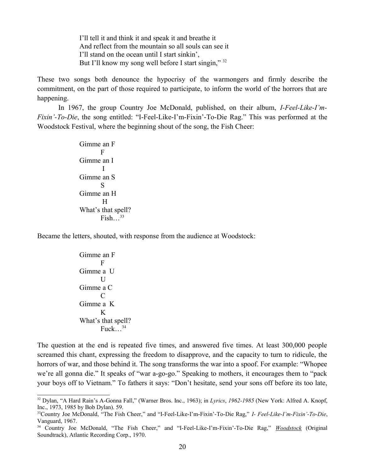I'll tell it and think it and speak it and breathe it And reflect from the mountain so all souls can see it I'll stand on the ocean until I start sinkin', But I'll know my song well before I start singin," [32](#page-5-0)

These two songs both denounce the hypocrisy of the warmongers and firmly describe the commitment, on the part of those required to participate, to inform the world of the horrors that are happening.

In 1967, the group Country Joe McDonald, published, on their album, *I-Feel-Like-I'm-Fixin'-To-Die*, the song entitled: "I-Feel-Like-I'm-Fixin'-To-Die Rag." This was performed at the Woodstock Festival, where the beginning shout of the song, the Fish Cheer:

> Gimme an F F Gimme an I I Gimme an S S Gimme an H H What's that spell? Fish  $33$

Became the letters, shouted, with response from the audience at Woodstock:

Gimme an F F Gimme a U  $II$ Gimme a C C Gimme a K K What's that spell? Fuck…[34](#page-5-2)

The question at the end is repeated five times, and answered five times. At least 300,000 people screamed this chant, expressing the freedom to disapprove, and the capacity to turn to ridicule, the horrors of war, and those behind it. The song transforms the war into a spoof. For example: "Whopee we're all gonna die." It speaks of "war a-go-go." Speaking to mothers, it encourages them to "pack your boys off to Vietnam." To fathers it says: "Don't hesitate, send your sons off before its too late,

<span id="page-5-0"></span><sup>32</sup> Dylan, "A Hard Rain's A-Gonna Fall," (Warner Bros. Inc., 1963); in *Lyrics*, *1962-1985* (New York: Alfred A. Knopf, Inc., 1973, 1985 by Bob Dylan). 59.

<span id="page-5-1"></span><sup>33</sup>Country Joe McDonald, "The Fish Cheer," and "I-Feel-Like-I'm-Fixin'-To-Die Rag," *I- Feel-Like-I'm-Fixin'-To-Die*, Vanguard, 1967.

<span id="page-5-2"></span><sup>34</sup> Country Joe McDonald, "The Fish Cheer," and "I-Feel-Like-I'm-Fixin'-To-Die Rag," *Woodstock* (Original Soundtrack), Atlantic Recording Corp., 1970.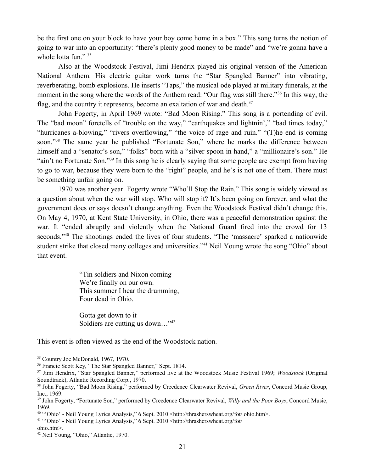be the first one on your block to have your boy come home in a box." This song turns the notion of going to war into an opportunity: "there's plenty good money to be made" and "we're gonna have a whole lotta fun." [35](#page-6-0)

Also at the Woodstock Festival, Jimi Hendrix played his original version of the American National Anthem. His electric guitar work turns the "Star Spangled Banner" into vibrating, reverberating, bomb explosions. He inserts "Taps," the musical ode played at military funerals, at the moment in the song where the words of the Anthem read: "Our flag was still there."<sup>[36](#page-6-1)</sup> In this way, the flag, and the country it represents, become an exaltation of war and death. $37$ 

John Fogerty, in April 1969 wrote: "Bad Moon Rising." This song is a portending of evil. The "bad moon" foretells of "trouble on the way," "earthquakes and lightnin'," "bad times today," "hurricanes a-blowing," "rivers overflowing," "the voice of rage and ruin." "(T)he end is coming soon."<sup>[38](#page-6-3)</sup> The same year he published "Fortunate Son," where he marks the difference between himself and a "senator's son," "folks" born with a "silver spoon in hand," a "millionaire's son." He "ain't no Fortunate Son."[39](#page-6-4) In this song he is clearly saying that some people are exempt from having to go to war, because they were born to the "right" people, and he's is not one of them. There must be something unfair going on.

1970 was another year. Fogerty wrote "Who'll Stop the Rain." This song is widely viewed as a question about when the war will stop. Who will stop it? It's been going on forever, and what the government does or says doesn't change anything. Even the Woodstock Festival didn't change this. On May 4, 1970, at Kent State University, in Ohio, there was a peaceful demonstration against the war. It "ended abruptly and violently when the National Guard fired into the crowd for 13 seconds."<sup>[40](#page-6-5)</sup> The shootings ended the lives of four students. "The 'massacre' sparked a nationwide student strike that closed many colleges and universities."<sup>[41](#page-6-6)</sup> Neil Young wrote the song "Ohio" about that event.

> "Tin soldiers and Nixon coming We're finally on our own. This summer I hear the drumming, Four dead in Ohio.

Gotta get down to it Soldiers are cutting us down…"[42](#page-6-7)

This event is often viewed as the end of the Woodstock nation.

<span id="page-6-6"></span><sup>41</sup> "'Ohio' - Neil Young Lyrics Analysis," 6 Sept. 2010 <http://thrasherswheat.org/fot/

ohio.htm>.

<span id="page-6-0"></span><sup>&</sup>lt;sup>35</sup> Country Joe McDonald, 1967, 1970.

<span id="page-6-1"></span><sup>&</sup>lt;sup>36</sup> Francic Scott Key, "The Star Spangled Banner," Sept. 1814.

<span id="page-6-2"></span><sup>37</sup> Jimi Hendrix, "Star Spangled Banner," performed live at the Woodstock Music Festival 1969; *Woodstock* (Original Soundtrack), Atlantic Recording Corp., 1970.

<span id="page-6-3"></span><sup>38</sup> John Fogerty, "Bad Moon Rising," performed by Creedence Clearwater Revival, *Green River*, Concord Music Group, Inc., 1969.

<span id="page-6-4"></span><sup>39</sup> John Fogerty, "Fortunate Son," performed by Creedence Clearwater Revival, *Willy and the Poor Boys*, Concord Music, 1969.

<span id="page-6-5"></span><sup>40</sup> "'Ohio' - Neil Young Lyrics Analysis," 6 Sept. 2010 <http://thrasherswheat.org/fot/ ohio.htm>.

<span id="page-6-7"></span><sup>42</sup> Neil Young, "Ohio," Atlantic, 1970.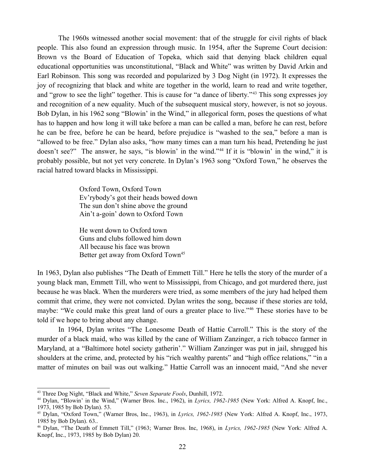The 1960s witnessed another social movement: that of the struggle for civil rights of black people. This also found an expression through music. In 1954, after the Supreme Court decision: Brown vs the Board of Education of Topeka, which said that denying black children equal educational opportunities was unconstitutional, "Black and White" was written by David Arkin and Earl Robinson. This song was recorded and popularized by 3 Dog Night (in 1972). It expresses the joy of recognizing that black and white are together in the world, learn to read and write together, and "grow to see the light" together. This is cause for "a dance of liberty."[43](#page-7-0) This song expresses joy and recognition of a new equality. Much of the subsequent musical story, however, is not so joyous. Bob Dylan, in his 1962 song "Blowin' in the Wind," in allegorical form, poses the questions of what has to happen and how long it will take before a man can be called a man, before he can rest, before he can be free, before he can be heard, before prejudice is "washed to the sea," before a man is "allowed to be free." Dylan also asks, "how many times can a man turn his head, Pretending he just doesn't see?" The answer, he says, "is blowin' in the wind."<sup>[44](#page-7-1)</sup> If it is "blowin' in the wind," it is probably possible, but not yet very concrete. In Dylan's 1963 song "Oxford Town," he observes the racial hatred toward blacks in Mississippi.

> Oxford Town, Oxford Town Ev'rybody's got their heads bowed down The sun don't shine above the ground Ain't a-goin' down to Oxford Town

He went down to Oxford town Guns and clubs followed him down All because his face was brown Better get away from Oxford Town<sup>[45](#page-7-2)</sup>

In 1963, Dylan also publishes "The Death of Emmett Till." Here he tells the story of the murder of a young black man, Emmett Till, who went to Mississippi, from Chicago, and got murdered there, just because he was black. When the murderers were tried, as some members of the jury had helped them commit that crime, they were not convicted. Dylan writes the song, because if these stories are told, maybe: "We could make this great land of ours a greater place to live."[46](#page-7-3) These stories have to be told if we hope to bring about any change.

In 1964, Dylan writes "The Lonesome Death of Hattie Carroll." This is the story of the murder of a black maid, who was killed by the cane of William Zanzinger, a rich tobacco farmer in Maryland, at a "Baltimore hotel society gatherin'." William Zanzinger was put in jail, shrugged his shoulders at the crime, and, protected by his "rich wealthy parents" and "high office relations," "in a matter of minutes on bail was out walking." Hattie Carroll was an innocent maid, "And she never

<span id="page-7-0"></span><sup>43</sup> Three Dog Night, "Black and White," *Seven Separate Fools*, Dunhill, 1972.

<span id="page-7-1"></span><sup>44</sup> Dylan, "Blowin' in the Wind," (Warner Bros. Inc., 1962), in *Lyrics, 1962-1985* (New York: Alfred A. Knopf, Inc., 1973, 1985 by Bob Dylan). 53.

<span id="page-7-2"></span><sup>45</sup> Dylan, "Oxford Town," (Warner Bros, Inc., 1963), in *Lyrics, 1962-1985* (New York: Alfred A. Knopf, Inc., 1973, 1985 by Bob Dylan). 63..

<span id="page-7-3"></span><sup>46</sup> Dylan, "The Death of Emmett Till," (1963; Warner Bros. Inc, 1968), in *Lyrics, 1962-1985* (New York: Alfred A. Knopf, Inc., 1973, 1985 by Bob Dylan) 20.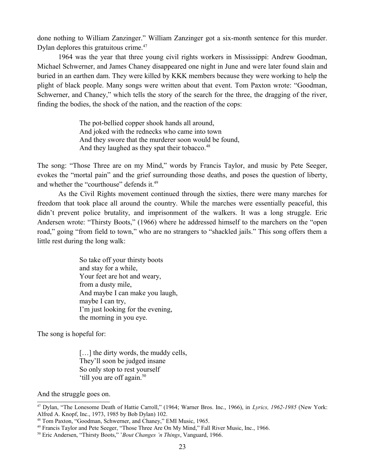done nothing to William Zanzinger." William Zanzinger got a six-month sentence for this murder. Dylan deplores this gratuitous crime.<sup>[47](#page-8-0)</sup>

1964 was the year that three young civil rights workers in Mississippi: Andrew Goodman, Michael Schwerner, and James Chaney disappeared one night in June and were later found slain and buried in an earthen dam. They were killed by KKK members because they were working to help the plight of black people. Many songs were written about that event. Tom Paxton wrote: "Goodman, Schwerner, and Chaney," which tells the story of the search for the three, the dragging of the river, finding the bodies, the shock of the nation, and the reaction of the cops:

> The pot-bellied copper shook hands all around, And joked with the rednecks who came into town And they swore that the murderer soon would be found, And they laughed as they spat their tobacco.<sup>[48](#page-8-1)</sup>

The song: "Those Three are on my Mind," words by Francis Taylor, and music by Pete Seeger, evokes the "mortal pain" and the grief surrounding those deaths, and poses the question of liberty, and whether the "courthouse" defends it.<sup>[49](#page-8-2)</sup>

As the Civil Rights movement continued through the sixties, there were many marches for freedom that took place all around the country. While the marches were essentially peaceful, this didn't prevent police brutality, and imprisonment of the walkers. It was a long struggle. Eric Andersen wrote: "Thirsty Boots," (1966) where he addressed himself to the marchers on the "open road," going "from field to town," who are no strangers to "shackled jails." This song offers them a little rest during the long walk:

> So take off your thirsty boots and stay for a while, Your feet are hot and weary, from a dusty mile, And maybe I can make you laugh, maybe I can try, I'm just looking for the evening, the morning in you eye.

The song is hopeful for:

[...] the dirty words, the muddy cells, They'll soon be judged insane So only stop to rest yourself 'till you are off again.<sup>[50](#page-8-3)</sup>

And the struggle goes on.

<span id="page-8-0"></span><sup>47</sup> Dylan, "The Lonesome Death of Hattie Carroll," (1964; Warner Bros. Inc., 1966), in *Lyrics, 1962-1985* (New York: Alfred A. Knopf, Inc., 1973, 1985 by Bob Dylan) 102.

<span id="page-8-1"></span><sup>48</sup> Tom Paxton, "Goodman, Schwerner, and Chaney," EMI Music, 1965.

<span id="page-8-2"></span><sup>&</sup>lt;sup>49</sup> Francis Taylor and Pete Seeger, "Those Three Are On My Mind," Fall River Music, Inc., 1966.

<span id="page-8-3"></span><sup>50</sup> Eric Andersen, "Thirsty Boots," '*Bout Changes 'n Things*, Vanguard, 1966.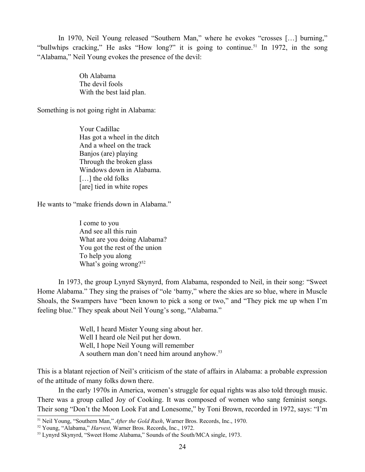In 1970, Neil Young released "Southern Man," where he evokes "crosses […] burning," "bullwhips cracking," He asks "How long?" it is going to continue.<sup>[51](#page-9-0)</sup> In 1972, in the song "Alabama," Neil Young evokes the presence of the devil:

> Oh Alabama The devil fools With the best laid plan.

Something is not going right in Alabama:

Your Cadillac Has got a wheel in the ditch And a wheel on the track Banjos (are) playing Through the broken glass Windows down in Alabama. [...] the old folks [are] tied in white ropes

He wants to "make friends down in Alabama."

I come to you And see all this ruin What are you doing Alabama? You got the rest of the union To help you along What's going wrong? $52$ 

In 1973, the group Lynyrd Skynyrd, from Alabama, responded to Neil, in their song: "Sweet Home Alabama." They sing the praises of "ole 'bamy," where the skies are so blue, where in Muscle Shoals, the Swampers have "been known to pick a song or two," and "They pick me up when I'm feeling blue." They speak about Neil Young's song, "Alabama."

> Well, I heard Mister Young sing about her. Well I heard ole Neil put her down. Well, I hope Neil Young will remember A southern man don't need him around anyhow.<sup>[53](#page-9-2)</sup>

This is a blatant rejection of Neil's criticism of the state of affairs in Alabama: a probable expression of the attitude of many folks down there.

In the early 1970s in America, women's struggle for equal rights was also told through music. There was a group called Joy of Cooking. It was composed of women who sang feminist songs. Their song "Don't the Moon Look Fat and Lonesome," by Toni Brown, recorded in 1972, says: "I'm

<span id="page-9-0"></span><sup>51</sup> Neil Young, "Southern Man," *After the Gold Rush*, Warner Bros. Records, Inc., 1970.

<span id="page-9-1"></span><sup>52</sup> Young, "Alabama," *Harvest,* Warner Bros. Records, Inc., 1972.

<span id="page-9-2"></span><sup>53</sup> Lynyrd Skynyrd, "Sweet Home Alabama," Sounds of the South/MCA single, 1973.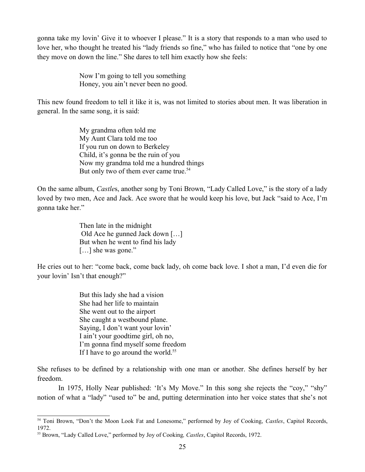gonna take my lovin' Give it to whoever I please." It is a story that responds to a man who used to love her, who thought he treated his "lady friends so fine," who has failed to notice that "one by one they move on down the line." She dares to tell him exactly how she feels:

> Now I'm going to tell you something Honey, you ain't never been no good.

This new found freedom to tell it like it is, was not limited to stories about men. It was liberation in general. In the same song, it is said:

> My grandma often told me My Aunt Clara told me too If you run on down to Berkeley Child, it's gonna be the ruin of you Now my grandma told me a hundred things But only two of them ever came true.<sup>[54](#page-10-0)</sup>

On the same album, *Castle*s, another song by Toni Brown, "Lady Called Love," is the story of a lady loved by two men, Ace and Jack. Ace swore that he would keep his love, but Jack "said to Ace, I'm gonna take her."

> Then late in the midnight Old Ace he gunned Jack down […] But when he went to find his lady [...] she was gone."

He cries out to her: "come back, come back lady, oh come back love. I shot a man, I'd even die for your lovin' Isn't that enough?"

> But this lady she had a vision She had her life to maintain She went out to the airport She caught a westbound plane. Saying, I don't want your lovin' I ain't your goodtime girl, oh no, I'm gonna find myself some freedom If I have to go around the world.<sup>[55](#page-10-1)</sup>

She refuses to be defined by a relationship with one man or another. She defines herself by her freedom.

In 1975, Holly Near published: 'It's My Move." In this song she rejects the "coy," "shy" notion of what a "lady" "used to" be and, putting determination into her voice states that she's not

<span id="page-10-0"></span><sup>54</sup> Toni Brown, "Don't the Moon Look Fat and Lonesome," performed by Joy of Cooking, *Castles*, Capitol Records, 1972.

<span id="page-10-1"></span><sup>55</sup> Brown, "Lady Called Love," performed by Joy of Cooking*, Castles*, Capitol Records, 1972.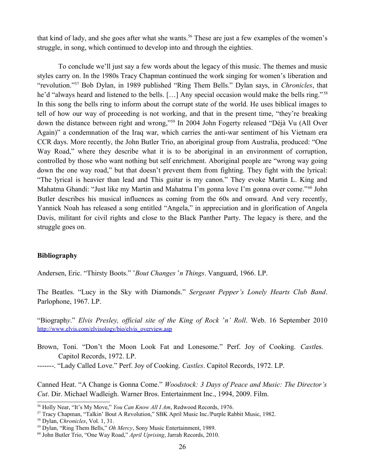that kind of lady, and she goes after what she wants.<sup>[56](#page-11-0)</sup> These are just a few examples of the women's struggle, in song, which continued to develop into and through the eighties.

To conclude we'll just say a few words about the legacy of this music. The themes and music styles carry on. In the 1980s Tracy Chapman continued the work singing for women's liberation and "revolution."[57](#page-11-1) Bob Dylan, in 1989 published "Ring Them Bells." Dylan says, in *Chronicles*, that he'd "always heard and listened to the bells. [...] Any special occasion would make the bells ring."<sup>[58](#page-11-2)</sup> In this song the bells ring to inform about the corrupt state of the world. He uses biblical images to tell of how our way of proceeding is not working, and that in the present time, "they're breaking down the distance between right and wrong,"[59](#page-11-3) In 2004 John Fogerty released "Déjà Vu (All Over Again)" a condemnation of the Iraq war, which carries the anti-war sentiment of his Vietnam era CCR days. More recently, the John Butler Trio, an aboriginal group from Australia, produced: "One Way Road," where they describe what it is to be aboriginal in an environment of corruption, controlled by those who want nothing but self enrichment. Aboriginal people are "wrong way going down the one way road," but that doesn't prevent them from fighting. They fight with the lyrical: "The lyrical is heavier than lead and This guitar is my canon." They evoke Martin L. King and Mahatma Ghandi: "Just like my Martin and Mahatma I'm gonna love I'm gonna over come."<sup>[60](#page-11-4)</sup> John Butler describes his musical influences as coming from the 60s and onward. And very recently, Yannick Noah has released a song entitled "Angela," in appreciation and in glorification of Angela Davis, militant for civil rights and close to the Black Panther Party. The legacy is there, and the struggle goes on.

## **Bibliography**

Andersen, Eric. "Thirsty Boots." '*Bout Changes* '*n Things*. Vanguard, 1966. LP.

The Beatles. "Lucy in the Sky with Diamonds." *Sergeant Pepper's Lonely Hearts Club Band*. Parlophone, 1967. LP.

"Biograph*y*." *Elvis Presley, official site of the King of Rock* '*n' Roll*. Web. 16 September 2010 [http://www.elvis.com/elvisology/bio/elvis\\_overview.asp](http://www.elvis.com/elvisology/bio/elvis_overview.asp)

- Brown, Toni. "Don't the Moon Look Fat and Lonesome." Perf. Joy of Cooking. *Castl*es. Capitol Records, 1972. LP.
- -------. "Lady Called Love." Perf. Joy of Cooking. *Castles*. Capitol Records, 1972. LP.

Canned Heat. "A Change is Gonna Come." *Woodstock: 3 Days of Peace and Music: The Director's Cut*. Dir. Michael Wadleigh. Warner Bros. Entertainment Inc., 1994, 2009. Film.

<span id="page-11-0"></span><sup>56</sup> Holly Near, "It's My Move," *You Can Know All I Am*, Redwood Records, 1976.

<span id="page-11-1"></span><sup>57</sup> Tracy Chapman, "Talkin' Bout A Revolution," SBK April Music Inc./Purple Rabbit Music, 1982.

<span id="page-11-2"></span><sup>58</sup> Dylan, C*hronicles*, Vol. 1, 31.

<span id="page-11-3"></span><sup>59</sup> Dylan, "Ring Them Bells," *Oh Mercy*, Sony Music Entertainment, 1989.

<span id="page-11-4"></span><sup>60</sup> John Butler Trio, "One Way Road," *April Uprising*, Jarrah Records, 2010.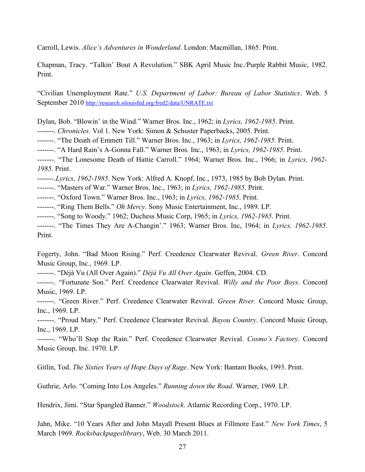Carroll, Lewis. *Alice's Adventures in Wonderland*. London: Macmillan, 1865. Print.

Chapman, Tracy. "Talkin' Bout A Revolution." SBK April Music Inc./Purple Rabbit Music, 1982. Print.

"Civilian Unemployment Rate." *U.S. Department of Labor: Bureau of Labor Statistics*. Web. 5 September 2010 <http://research.stlouisfed.org/fred2/data/UNRATE.txt>

Dylan, Bob. "Blowin' in the Wind." Warner Bros. Inc., 1962; in *Lyrics, 1962-1985*. Print.

-------. *Chronicles*. Vol 1. New York: Simon & Schuster Paperbacks, 2005. Print.

-------. "The Death of Emmett Till." Warner Bros. Inc., 1963; in *Lyrics, 1962-1985*. Print.

-------. "A Hard Rain's A-Gonna Fall." Warner Bros. Inc., 1963; in *Lyrics, 1962-1985*. Print.

-------. "The Lonesome Death of Hattie Carroll." 1964; Warner Bros. Inc., 1966; in *Lyrics, 1962- 1985*. Print.

-------.*Lyrics, 1962-1985*. New York: Alfred A. Knopf, Inc., 1973, 1985 by Bob Dylan. Print.

-------. "Masters of War." Warner Bros. Inc., 1963; in *Lyrics, 1962-1985*. Print.

-------. "Oxford Town." Warner Bros. Inc., 1963; in *Lyrics, 1962-1985*. Print.

-------. "Ring Them Bells." *Oh Mercy*. Sony Music Entertainment, Inc., 1989. LP.

-------. "Song to Woody." 1962; Duchess Music Corp, 1965; in *Lyrics, 1962-1985*. Print.

-------. "The Times They Are A-Changin'." 1963; Warner Bros. Inc, 1964; in *Lyrics, 1962-1985*. Print.

Fogerty, John. "Bad Moon Rising." Perf. Creedence Clearwater Revival. *Green River*. Concord Music Group, Inc., 1969. LP.

-------. "Déjà Vu (All Over Again)." *Déjà Vu All Over Again*. Geffen, 2004. CD.

-------. "Fortunate Son." Perf. Creedence Clearwater Revival. *Willy and the Poor Boys*. Concord Music, 1969. LP.

-------. "Green River." Perf. Creedence Clearwater Revival. *Green River.* Concord Music Group, Inc., 1969. LP.

-------. "Proud Mary." Perf. Creedence Clearwater Revival. *Bayou Country*. Concord Music Group, Inc., 1969. LP.

-------. "Who'll Stop the Rain." Perf. Creedence Clearwater Revival. *Cosmo's Factory*. Concord Music Group, Inc. 1970. LP.

Gitlin, Tod. *The Sixties Years of Hope Days of Rage*. New York: Bantam Books, 1993. Print.

Guthrie, Arlo. "Coming Into Los Angeles." *Running down the Road*. Warner, 1969. LP.

Hendrix, Jimi. "Star Spangled Banner." *Woodstock*. Atlantic Recording Corp., 1970. LP.

Jahn, Mike. "10 Years After and John Mayall Present Blues at Fillmore East." *New York Times*, 5 March 1969. *Rocksbackpageslibrary*, Web. 30 March 2011.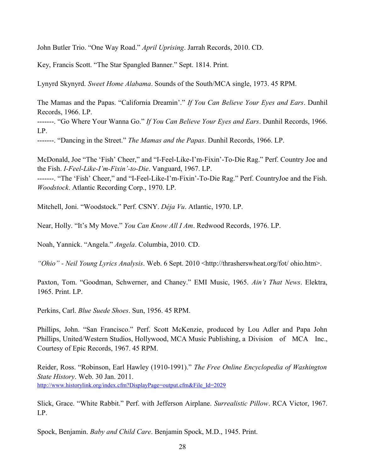John Butler Trio. "One Way Road." *April Uprising*. Jarrah Records, 2010. CD.

Key, Francis Scott. "The Star Spangled Banner." Sept. 1814. Print.

Lynyrd Skynyrd. *Sweet Home Alabama*. Sounds of the South/MCA single, 1973. 45 RPM.

The Mamas and the Papas. "California Dreamin'." *If You Can Believe Your Eyes and Ears*. Dunhil Records, 1966. LP.

-------. "Go Where Your Wanna Go." *If You Can Believe Your Eyes and Ears*. Dunhil Records, 1966. LP.

-------. "Dancing in the Street." *The Mamas and the Papas*. Dunhil Records, 1966. LP.

McDonald, Joe "The 'Fish' Cheer," and "I-Feel-Like-I'm-Fixin'-To-Die Rag." Perf. Country Joe and the Fish. *I-Feel-Like-I'm-Fixin'-to-Die*. Vanguard, 1967. LP.

-------. "The 'Fish' Cheer," and "I-Feel-Like-I'm-Fixin'-To-Die Rag." Perf. CountryJoe and the Fish. *Woodstock*. Atlantic Recording Corp., 1970. LP.

Mitchell, Joni. "Woodstock." Perf. CSNY. *Déja Vu*. Atlantic, 1970. LP.

Near, Holly. "It's My Move." *You Can Know All I Am*. Redwood Records, 1976. LP.

Noah, Yannick. "Angela." *Angela*. Columbia, 2010. CD.

*"Ohio" - Neil Young Lyrics Analysis*. Web. 6 Sept. 2010 <http://thrasherswheat.org/fot/ ohio.htm>.

Paxton, Tom. "Goodman, Schwerner, and Chaney." EMI Music, 1965. *Ain't That News*. Elektra, 1965. Print. LP.

Perkins, Carl. *Blue Suede Shoes*. Sun, 1956. 45 RPM.

Phillips, John. "San Francisco." Perf. Scott McKenzie, produced by Lou Adler and Papa John Phillips, United/Western Studios, Hollywood, MCA Music Publishing, a Division of MCA Inc., Courtesy of Epic Records, 1967. 45 RPM.

Reider, Ross. "Robinson, Earl Hawley (1910-1991)." *The Free Online Encyclopedia of Washington State History*. Web. 30 Jan. 2011. [http://www.historylink.org/index.cfm?DisplayPage=output.cfm&File\\_Id=2029](http://www.historylink.org/index.cfm?DisplayPage=output.cfm&File_Id=2029)

Slick, Grace. "White Rabbit." Perf. with Jefferson Airplane. *Surrealistic Pillow*. RCA Victor, 1967. LP.

Spock, Benjamin. *Baby and Child Care*. Benjamin Spock, M.D., 1945. Print.